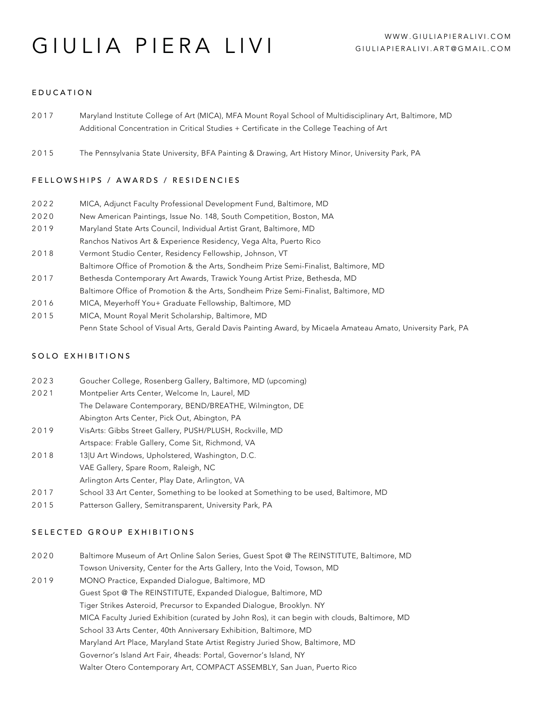# **GIULIA PIERA LIVI** WWW.GIULIAPIERALIVI.COM

# EDUCATION

| 2017 | Maryland Institute College of Art (MICA), MFA Mount Royal School of Multidisciplinary Art, Baltimore, MD |
|------|----------------------------------------------------------------------------------------------------------|
|      | Additional Concentration in Critical Studies + Certificate in the College Teaching of Art                |

2015 The Pennsylvania State University, BFA Painting & Drawing, Art History Minor, University Park, PA

# FELLOWSHIPS / AWARDS / RESIDENCIES

| 2022 |  | MICA, Adjunct Faculty Professional Development Fund, Baltimore, MD |
|------|--|--------------------------------------------------------------------|
|      |  |                                                                    |

- 2020 New American Paintings, Issue No. 148, South Competition, Boston, MA
- 2019 Maryland State Arts Council, Individual Artist Grant, Baltimore, MD
- Ranchos Nativos Art & Experience Residency, Vega Alta, Puerto Rico
- 2018 Vermont Studio Center, Residency Fellowship, Johnson, VT Baltimore Office of Promotion & the Arts, Sondheim Prize Semi-Finalist, Baltimore, MD
- 2017 Bethesda Contemporary Art Awards, Trawick Young Artist Prize, Bethesda, MD
- Baltimore Office of Promotion & the Arts, Sondheim Prize Semi-Finalist, Baltimore, MD
- 2016 MICA, Meyerhoff You+ Graduate Fellowship, Baltimore, MD
- 2015 MICA, Mount Royal Merit Scholarship, Baltimore, MD Penn State School of Visual Arts, Gerald Davis Painting Award, by Micaela Amateau Amato, University Park, PA

# SOLO EXHIBITIONS

- 2023 Goucher College, Rosenberg Gallery, Baltimore, MD (upcoming)
- 2021 Montpelier Arts Center, Welcome In, Laurel, MD The Delaware Contemporary, BEND/BREATHE, Wilmington, DE
	- Abington Arts Center, Pick Out, Abington, PA
- 2019 VisArts: Gibbs Street Gallery, PUSH/PLUSH, Rockville, MD Artspace: Frable Gallery, Come Sit, Richmond, VA
- 2018 13|U Art Windows, Upholstered, Washington, D.C. VAE Gallery, Spare Room, Raleigh, NC
	- Arlington Arts Center, Play Date, Arlington, VA
- 2017 School 33 Art Center, Something to be looked at Something to be used, Baltimore, MD
- 2015 Patterson Gallery, Semitransparent, University Park, PA

## SELECTED GROUP EXHIBITIONS

2020 2019 Baltimore Museum of Art Online Salon Series, Guest Spot @ The REINSTITUTE, Baltimore, MD Towson University, Center for the Arts Gallery, Into the Void, Towson, MD MONO Practice, Expanded Dialogue, Baltimore, MD Guest Spot @ The REINSTITUTE, Expanded Dialogue, Baltimore, MD Tiger Strikes Asteroid, Precursor to Expanded Dialogue, Brooklyn. NY MICA Faculty Juried Exhibition (curated by John Ros), it can begin with clouds, Baltimore, MD School 33 Arts Center, 40th Anniversary Exhibition, Baltimore, MD Maryland Art Place, Maryland State Artist Registry Juried Show, Baltimore, MD Governor's Island Art Fair, 4heads: Portal, Governor's Island, NY Walter Otero Contemporary Art, COMPACT ASSEMBLY, San Juan, Puerto Rico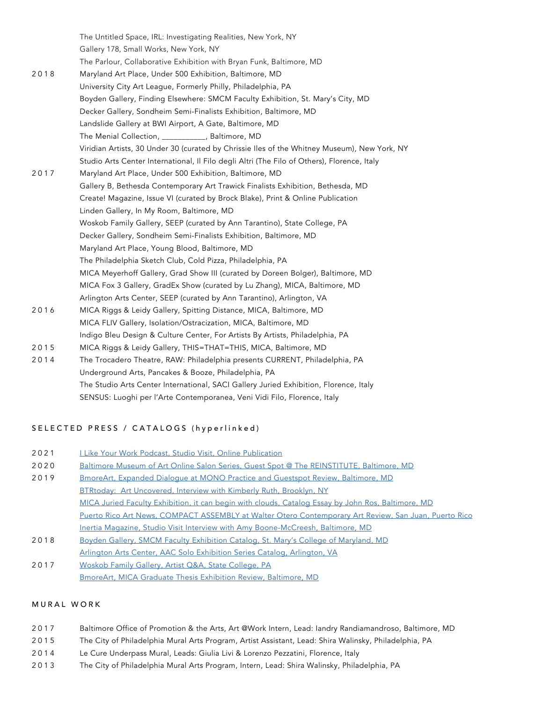2018 2017 2016 2015 2014 The Untitled Space, IRL: Investigating Realities, New York, NY Gallery 178, Small Works, New York, NY The Parlour, Collaborative Exhibition with Bryan Funk, Baltimore, MD Maryland Art Place, Under 500 Exhibition, Baltimore, MD University City Art League, Formerly Philly, Philadelphia, PA Boyden Gallery, Finding Elsewhere: SMCM Faculty Exhibition, St. Mary's City, MD Decker Gallery, Sondheim Semi-Finalists Exhibition, Baltimore, MD Landslide Gallery at BWI Airport, A Gate, Baltimore, MD The Menial Collection, \_\_\_\_\_\_\_\_\_\_\_, Baltimore, MD Viridian Artists, 30 Under 30 (curated by Chrissie Iles of the Whitney Museum), New York, NY Studio Arts Center International, Il Filo degli Altri (The Filo of Others), Florence, Italy Maryland Art Place, Under 500 Exhibition, Baltimore, MD Gallery B, Bethesda Contemporary Art Trawick Finalists Exhibition, Bethesda, MD Create! Magazine, Issue VI (curated by Brock Blake), Print & Online Publication Linden Gallery, In My Room, Baltimore, MD Woskob Family Gallery, SEEP (curated by Ann Tarantino), State College, PA Decker Gallery, Sondheim Semi-Finalists Exhibition, Baltimore, MD Maryland Art Place, Young Blood, Baltimore, MD The Philadelphia Sketch Club, Cold Pizza, Philadelphia, PA MICA Meyerhoff Gallery, Grad Show III (curated by Doreen Bolger), Baltimore, MD MICA Fox 3 Gallery, GradEx Show (curated by Lu Zhang), MICA, Baltimore, MD Arlington Arts Center, SEEP (curated by Ann Tarantino), Arlington, VA MICA Riggs & Leidy Gallery, Spitting Distance, MICA, Baltimore, MD MICA FLIV Gallery, Isolation/Ostracization, MICA, Baltimore, MD Indigo Bleu Design & Culture Center, For Artists By Artists, Philadelphia, PA MICA Riggs & Leidy Gallery, THIS=THAT=THIS, MICA, Baltimore, MD The Trocadero Theatre, RAW: Philadelphia presents CURRENT, Philadelphia, PA Underground Arts, Pancakes & Booze, Philadelphia, PA The Studio Arts Center International, SACI Gallery Juried Exhibition, Florence, Italy SENSUS: Luoghi per l'Arte Contemporanea, Veni Vidi Filo, Florence, Italy

# SELECTED PRESS / CATALOGS (hyperlinked)

| 2021 |  |  |  | I Like Your Work Podcast, Studio Visit, Online Publication |
|------|--|--|--|------------------------------------------------------------|
|      |  |  |  |                                                            |

- 2020 [Baltimore Museum of Art Online Salon Series, Guest Spot @ The REINSTITUTE, Baltimore, MD](https://tomorrows.artbma.org/gallery.php?gallery=guest_spot_%40_the_reinstitute)
- 2019 2018 [BmoreArt, Expanded Dialogue at MONO Practice and Guestspot Review, Baltimore, MD](https://bmoreart.com/2019/11/friday-gallery-roundup-galerie-myrtis-monopractice-guest-spot-cardinal.html) [BTRtoday: Art Uncovered, Interview with Kimberly Ruth, Brooklyn, NY](https://www.btrtoday.com/listen/artuncovered/giula-piera-livi/) [MICA Juried Faculty Exhibition, it can begin with clouds, Catalog Essay by John Ros, Baltimore, MD](http://www.johnros.com/wp-content/uploads/ros-MICA-Final.pdf) [Puerto Rico Art News, COMPACT ASSEMBLY at Walter Otero Contemporary Art Review, San Juan, Puerto Rico](https://www.puertoricoartnews.com/2019/06/compact-assembly-colectiva.html) [Inertia Magazine, Studio Visit Interview with Amy Boone-McCreesh, Baltimore, MD](https://inertiastudiovisits.com/2019/02/12/studio-visit-giulia-piera-livi/) [Boyden Gallery, SMCM Faculty Exhibition Catalog, St. Mary's College of Maryland, MD](https://issuu.com/smcmpublications/docs/smcm_art_catalog_fa_spreads_smaller)
- [Arlington Arts Center, AAC Solo Exhibition Series Catalog, Arlington, VA](https://issuu.com/arlingtonartscenter/docs/aac_spring_solos_2018_catalog_for_w)
- 2017 [Woskob Family Gallery, Artist Q&A, State College, PA](https://woskobfamilygallery.psu.edu/2017/09/18/artist-q-a-giulia-livi/) [BmoreArt, MICA Graduate Thesis Exhibition Review, Baltimore, MD](http://www.bmoreart.com/2017/04/mica-graduate-thesis-show-iii.html)

### MURAL WORK

- 2017 Baltimore Office of Promotion & the Arts, Art @Work Intern, Lead: Iandry Randiamandroso, Baltimore, MD
- 2015 The City of Philadelphia Mural Arts Program, Artist Assistant, Lead: Shira Walinsky, Philadelphia, PA
- 2014 Le Cure Underpass Mural, Leads: Giulia Livi & Lorenzo Pezzatini, Florence, Italy
- 2013 The City of Philadelphia Mural Arts Program, Intern, Lead: Shira Walinsky, Philadelphia, PA